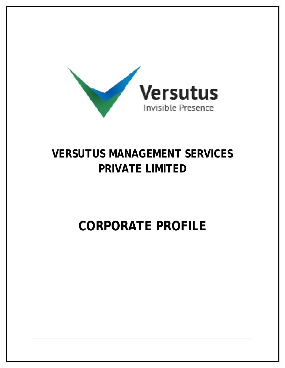

# **VERSUTUS MANAGEMENT SERVICES PRIVATE LIMITED**

# **CORPORATE PROFILE**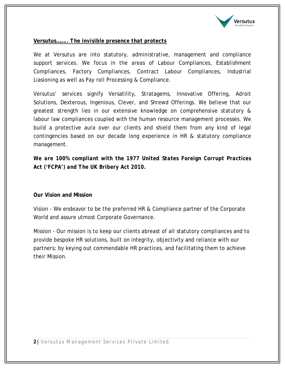

## **Versutus……..** *The invisible presence that protects*

We at Versutus are into statutory, administrative, management and compliance support services. We focus in the areas of Labour Compliances, Establishment Compliances, Factory Compliances, Contract Labour Compliances, Industrial Liasioning as well as Pay roll Processing & Compliance.

Versutus' services signify Versatility, Stratagems, Innovative Offering, Adroit Solutions, Dexterous, Ingenious, Clever, and Shrewd Offerings. We believe that our greatest strength lies in our extensive knowledge on comprehensive statutory & labour law compliances coupled with the human resource management processes. We build a protective aura over our clients and shield them from any kind of legal contingencies based on our decade long experience in HR & statutory compliance management.

*We are 100% compliant with the 1977 United States Foreign Corrupt Practices Act ('FCPA') and The UK Bribery Act 2010.* 

#### **Our Vision and Mission**

Vision - We endeavor to be the preferred HR & Compliance partner of the Corporate World and assure utmost Corporate Governance.

Mission - Our mission is to keep our clients abreast of all statutory compliances and to provide bespoke HR solutions, built on integrity, objectivity and reliance with our partners; by keying out commendable HR practices, and facilitating them to achieve their Mission.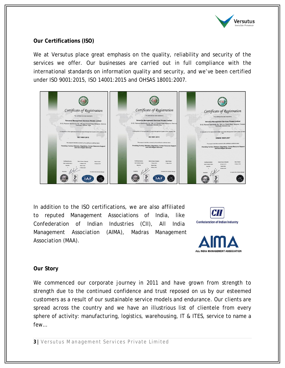

# **Our Certifications (ISO)**

We at Versutus place great emphasis on the quality, reliability and security of the services we offer. Our businesses are carried out in full compliance with the international standards on information quality and security, and we've been certified under ISO 9001:2015, ISO 14001:2015 and OHSAS 18001:2007.



In addition to the ISO certifications, we are also affiliated to reputed Management Associations of India, like Confederation of Indian Industries (CII), All India Management Association (AIMA), Madras Management Association (MAA).



ALL INDIA MANAGEMENT ASSOCIATION

#### **Our Story**

We commenced our corporate journey in 2011 and have grown from strength to strength due to the continued confidence and trust reposed on us by our esteemed customers as a result of our sustainable service models and endurance. Our clients are spread across the country and we have an illustrious list of clientele from every sphere of activity: manufacturing, logistics, warehousing, IT & ITES, service to name a few…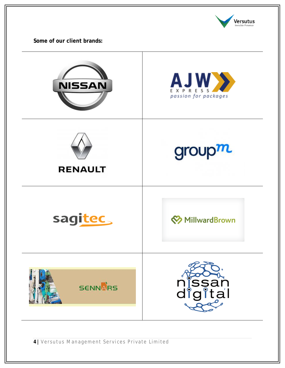

**Some of our client brands:**



**4** | Versutus Management Services Private Limited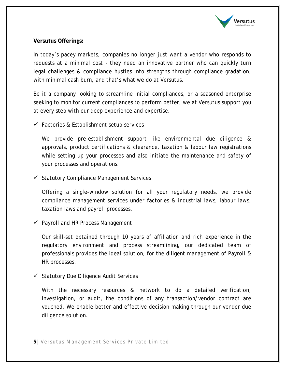

## **Versutus Offerings:**

In today's pacey markets, companies no longer just want a vendor who responds to requests at a minimal cost - they need an innovative partner who can quickly turn legal challenges & compliance hustles into strengths through compliance gradation, with minimal cash burn, and that's what we do at Versutus.

Be it a company looking to streamline initial compliances, or a seasoned enterprise seeking to monitor current compliances to perform better, we at Versutus support you at every step with our deep experience and expertise.

 $\checkmark$  Factories & Establishment setup services

We provide pre-establishment support like environmental due diligence & approvals, product certifications & clearance, taxation & labour law registrations while setting up your processes and also initiate the maintenance and safety of your processes and operations.

 $\checkmark$  Statutory Compliance Management Services

Offering a single-window solution for all your regulatory needs, we provide compliance management services under factories & industrial laws, labour laws, taxation laws and payroll processes.

 $\checkmark$  Payroll and HR Process Management

Our skill-set obtained through 10 years of affiliation and rich experience in the regulatory environment and process streamlining, our dedicated team of professionals provides the ideal solution, for the diligent management of Payroll & HR processes.

 $\checkmark$  Statutory Due Diligence Audit Services

With the necessary resources & network to do a detailed verification, investigation, or audit, the conditions of any transaction/vendor contract are vouched. We enable better and effective decision making through our vendor due diligence solution.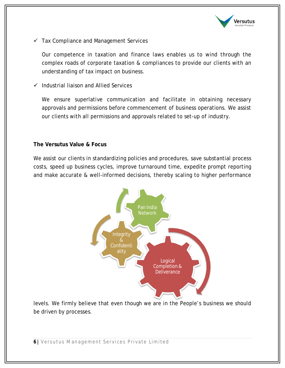

 $\checkmark$  Tax Compliance and Management Services

Our competence in taxation and finance laws enables us to wind through the complex roads of corporate taxation & compliances to provide our clients with an understanding of tax impact on business.

 $\checkmark$  Industrial liaison and Allied Services

We ensure superlative communication and facilitate in obtaining necessary approvals and permissions before commencement of business operations. We assist our clients with all permissions and approvals related to set-up of industry.

# **The Versutus Value & Focus**

We assist our clients in standardizing policies and procedures, save substantial process costs, speed up business cycles, improve turnaround time, expedite prompt reporting and make accurate & well-informed decisions, thereby scaling to higher performance



levels. We firmly believe that even though we are in the People's business we should be driven by processes.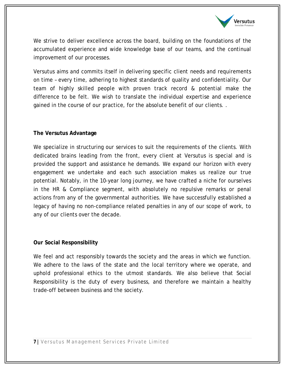

We strive to deliver excellence across the board, building on the foundations of the accumulated experience and wide knowledge base of our teams, and the continual improvement of our processes.

Versutus aims and commits itself in delivering specific client needs and requirements on time – every time, adhering to highest standards of quality and confidentiality. Our team of highly skilled people with proven track record & potential make the difference to be felt. We wish to translate the individual expertise and experience gained in the course of our practice, for the absolute benefit of our clients. .

#### **The Versutus Advantage**

We specialize in structuring our services to suit the requirements of the clients. With dedicated brains leading from the front, every client at Versutus is special and is provided the support and assistance he demands. We expand our horizon with every engagement we undertake and each such association makes us realize our true potential. Notably, in the 10-year long journey, we have crafted a niche for ourselves in the HR & Compliance segment, with absolutely no repulsive remarks or penal actions from any of the governmental authorities. We have successfully established a legacy of having no non-compliance related penalties in any of our scope of work, to any of our clients over the decade.

#### **Our Social Responsibility**

We feel and act responsibly towards the society and the areas in which we function. We adhere to the laws of the state and the local territory where we operate, and uphold professional ethics to the utmost standards. We also believe that Social Responsibility is the duty of every business, and therefore we maintain a healthy trade-off between business and the society.